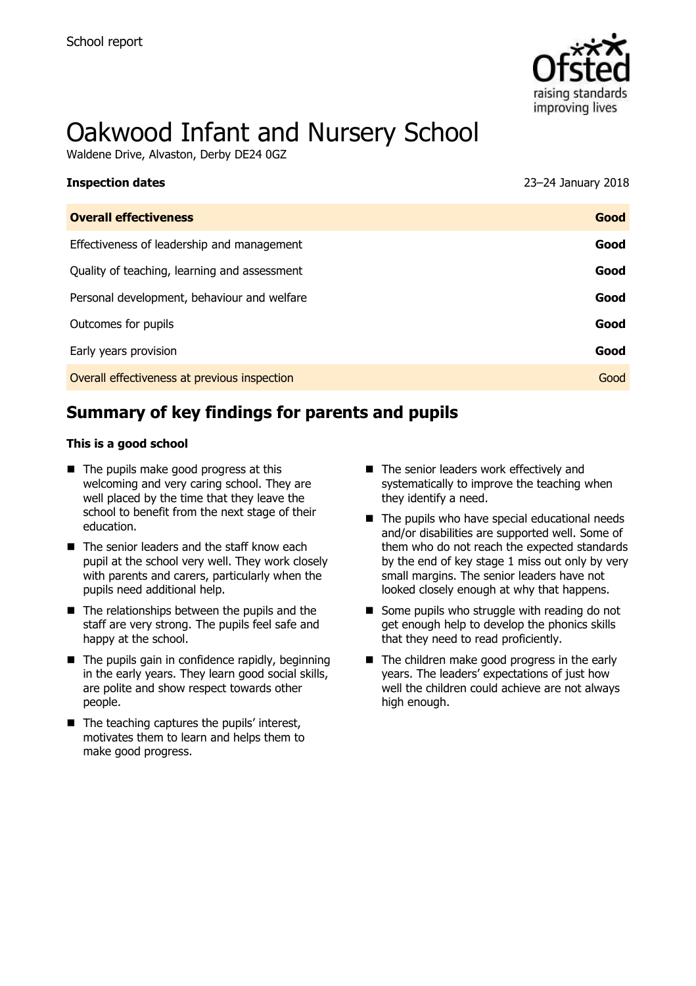

# Oakwood Infant and Nursery School

Waldene Drive, Alvaston, Derby DE24 0GZ

| <b>Inspection dates</b>                      | 23-24 January 2018 |
|----------------------------------------------|--------------------|
| <b>Overall effectiveness</b>                 | Good               |
| Effectiveness of leadership and management   | Good               |
| Quality of teaching, learning and assessment | Good               |
| Personal development, behaviour and welfare  | Good               |
| Outcomes for pupils                          | Good               |
| Early years provision                        | Good               |
| Overall effectiveness at previous inspection | Good               |
|                                              |                    |

# **Summary of key findings for parents and pupils**

#### **This is a good school**

- The pupils make good progress at this welcoming and very caring school. They are well placed by the time that they leave the school to benefit from the next stage of their education.
- $\blacksquare$  The senior leaders and the staff know each pupil at the school very well. They work closely with parents and carers, particularly when the pupils need additional help.
- $\blacksquare$  The relationships between the pupils and the staff are very strong. The pupils feel safe and happy at the school.
- $\blacksquare$  The pupils gain in confidence rapidly, beginning in the early years. They learn good social skills, are polite and show respect towards other people.
- $\blacksquare$  The teaching captures the pupils' interest, motivates them to learn and helps them to make good progress.
- The senior leaders work effectively and systematically to improve the teaching when they identify a need.
- $\blacksquare$  The pupils who have special educational needs and/or disabilities are supported well. Some of them who do not reach the expected standards by the end of key stage 1 miss out only by very small margins. The senior leaders have not looked closely enough at why that happens.
- Some pupils who struggle with reading do not get enough help to develop the phonics skills that they need to read proficiently.
- The children make good progress in the early years. The leaders' expectations of just how well the children could achieve are not always high enough.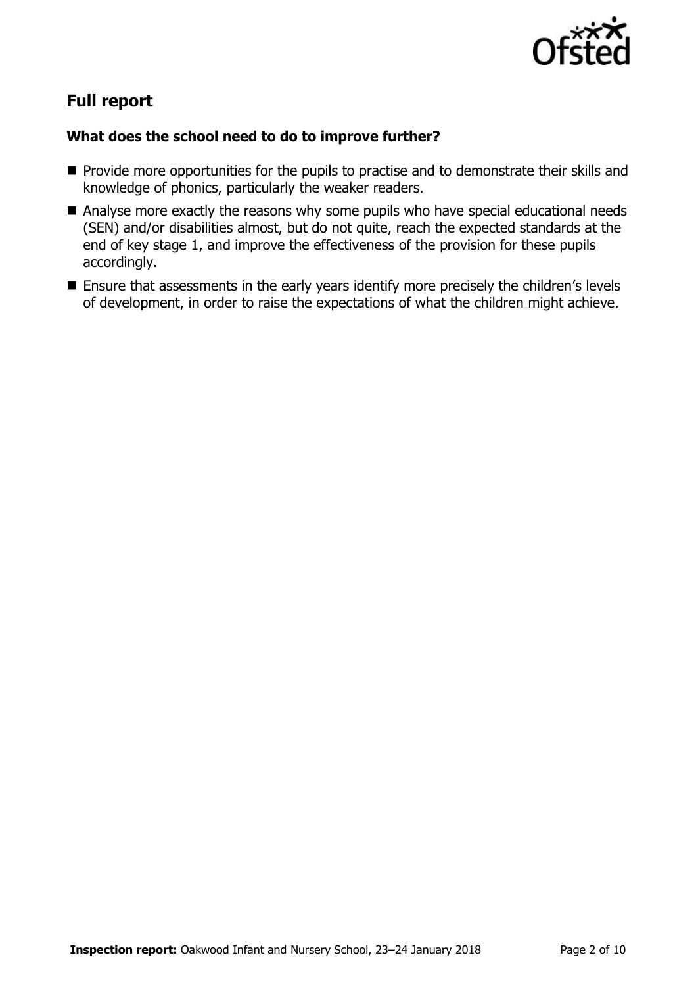

# **Full report**

# **What does the school need to do to improve further?**

- **Provide more opportunities for the pupils to practise and to demonstrate their skills and** knowledge of phonics, particularly the weaker readers.
- Analyse more exactly the reasons why some pupils who have special educational needs (SEN) and/or disabilities almost, but do not quite, reach the expected standards at the end of key stage 1, and improve the effectiveness of the provision for these pupils accordingly.
- Ensure that assessments in the early years identify more precisely the children's levels of development, in order to raise the expectations of what the children might achieve.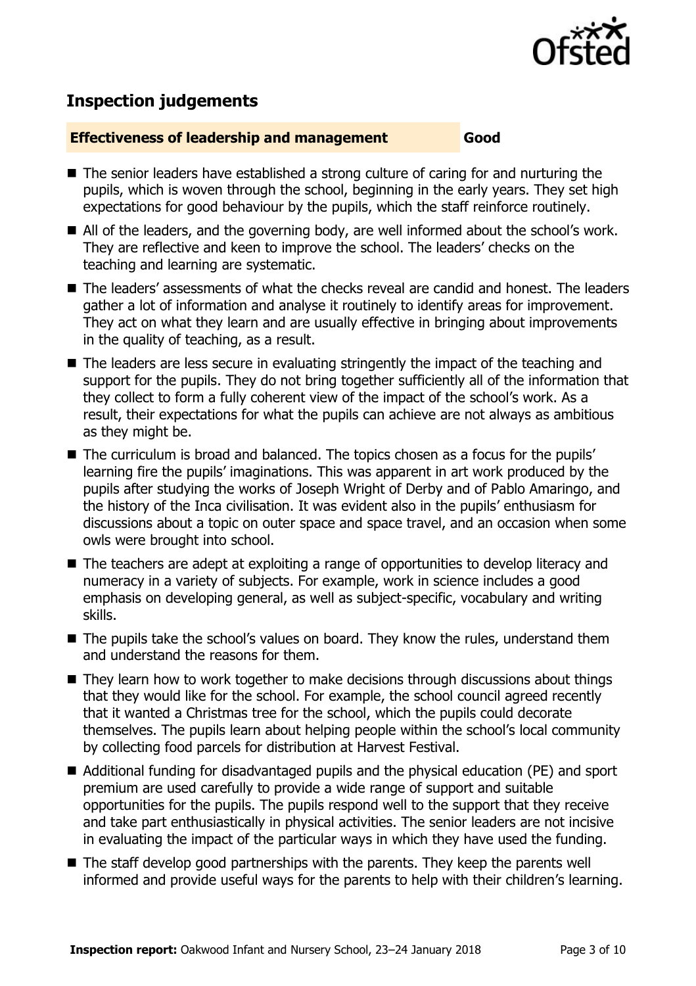

# **Inspection judgements**

#### **Effectiveness of leadership and management Good**

- The senior leaders have established a strong culture of caring for and nurturing the pupils, which is woven through the school, beginning in the early years. They set high expectations for good behaviour by the pupils, which the staff reinforce routinely.
- All of the leaders, and the governing body, are well informed about the school's work. They are reflective and keen to improve the school. The leaders' checks on the teaching and learning are systematic.
- The leaders' assessments of what the checks reveal are candid and honest. The leaders gather a lot of information and analyse it routinely to identify areas for improvement. They act on what they learn and are usually effective in bringing about improvements in the quality of teaching, as a result.
- The leaders are less secure in evaluating stringently the impact of the teaching and support for the pupils. They do not bring together sufficiently all of the information that they collect to form a fully coherent view of the impact of the school's work. As a result, their expectations for what the pupils can achieve are not always as ambitious as they might be.
- The curriculum is broad and balanced. The topics chosen as a focus for the pupils' learning fire the pupils' imaginations. This was apparent in art work produced by the pupils after studying the works of Joseph Wright of Derby and of Pablo Amaringo, and the history of the Inca civilisation. It was evident also in the pupils' enthusiasm for discussions about a topic on outer space and space travel, and an occasion when some owls were brought into school.
- The teachers are adept at exploiting a range of opportunities to develop literacy and numeracy in a variety of subjects. For example, work in science includes a good emphasis on developing general, as well as subject-specific, vocabulary and writing skills.
- The pupils take the school's values on board. They know the rules, understand them and understand the reasons for them.
- They learn how to work together to make decisions through discussions about things that they would like for the school. For example, the school council agreed recently that it wanted a Christmas tree for the school, which the pupils could decorate themselves. The pupils learn about helping people within the school's local community by collecting food parcels for distribution at Harvest Festival.
- Additional funding for disadvantaged pupils and the physical education (PE) and sport premium are used carefully to provide a wide range of support and suitable opportunities for the pupils. The pupils respond well to the support that they receive and take part enthusiastically in physical activities. The senior leaders are not incisive in evaluating the impact of the particular ways in which they have used the funding.
- The staff develop good partnerships with the parents. They keep the parents well informed and provide useful ways for the parents to help with their children's learning.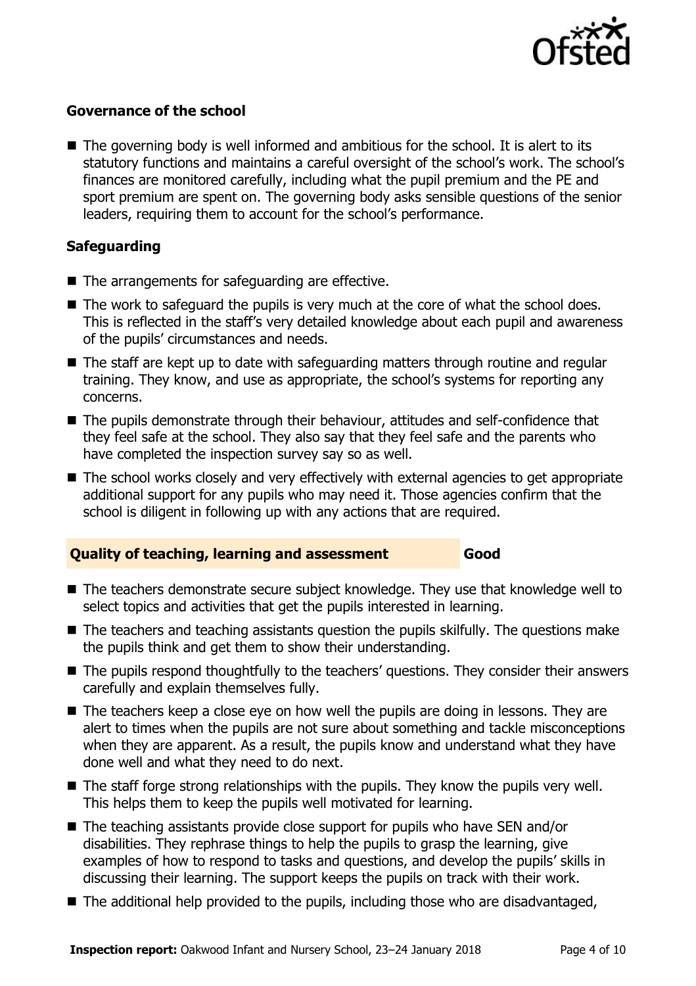

## **Governance of the school**

 $\blacksquare$  The governing body is well informed and ambitious for the school. It is alert to its statutory functions and maintains a careful oversight of the school's work. The school's finances are monitored carefully, including what the pupil premium and the PE and sport premium are spent on. The governing body asks sensible questions of the senior leaders, requiring them to account for the school's performance.

## **Safeguarding**

- The arrangements for safeguarding are effective.
- $\blacksquare$  The work to safeguard the pupils is very much at the core of what the school does. This is reflected in the staff's very detailed knowledge about each pupil and awareness of the pupils' circumstances and needs.
- The staff are kept up to date with safeguarding matters through routine and regular training. They know, and use as appropriate, the school's systems for reporting any concerns.
- The pupils demonstrate through their behaviour, attitudes and self-confidence that they feel safe at the school. They also say that they feel safe and the parents who have completed the inspection survey say so as well.
- The school works closely and very effectively with external agencies to get appropriate additional support for any pupils who may need it. Those agencies confirm that the school is diligent in following up with any actions that are required.

#### **Quality of teaching, learning and assessment Good**

- The teachers demonstrate secure subject knowledge. They use that knowledge well to select topics and activities that get the pupils interested in learning.
- The teachers and teaching assistants question the pupils skilfully. The questions make the pupils think and get them to show their understanding.
- The pupils respond thoughtfully to the teachers' questions. They consider their answers carefully and explain themselves fully.
- The teachers keep a close eye on how well the pupils are doing in lessons. They are alert to times when the pupils are not sure about something and tackle misconceptions when they are apparent. As a result, the pupils know and understand what they have done well and what they need to do next.
- $\blacksquare$  The staff forge strong relationships with the pupils. They know the pupils very well. This helps them to keep the pupils well motivated for learning.
- The teaching assistants provide close support for pupils who have SEN and/or disabilities. They rephrase things to help the pupils to grasp the learning, give examples of how to respond to tasks and questions, and develop the pupils' skills in discussing their learning. The support keeps the pupils on track with their work.
- The additional help provided to the pupils, including those who are disadvantaged,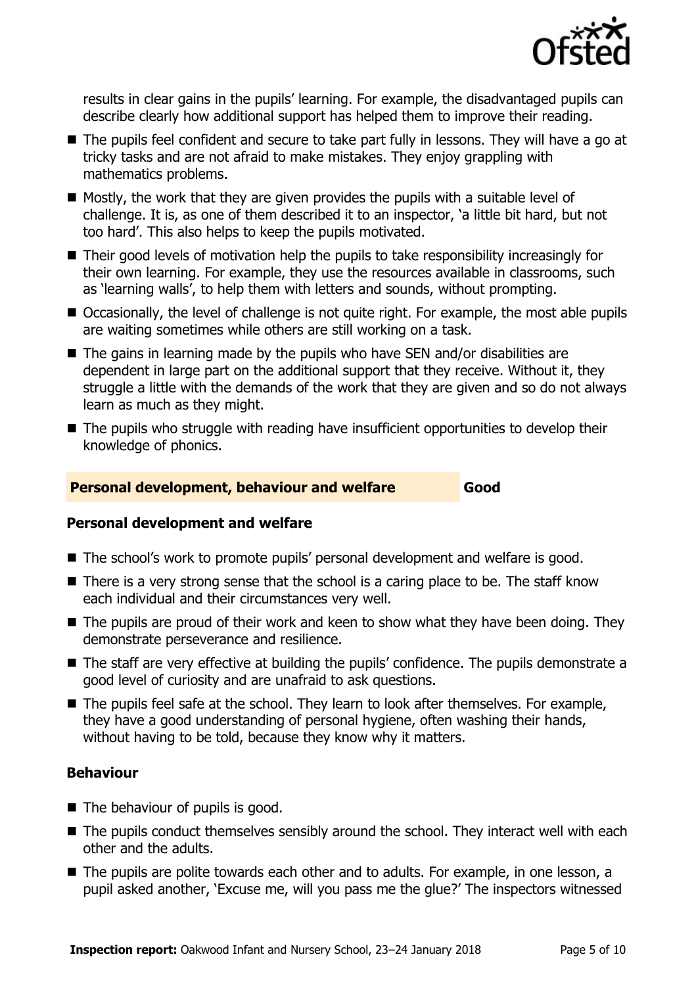

results in clear gains in the pupils' learning. For example, the disadvantaged pupils can describe clearly how additional support has helped them to improve their reading.

- The pupils feel confident and secure to take part fully in lessons. They will have a go at tricky tasks and are not afraid to make mistakes. They enjoy grappling with mathematics problems.
- $\blacksquare$  Mostly, the work that they are given provides the pupils with a suitable level of challenge. It is, as one of them described it to an inspector, 'a little bit hard, but not too hard'. This also helps to keep the pupils motivated.
- Their good levels of motivation help the pupils to take responsibility increasingly for their own learning. For example, they use the resources available in classrooms, such as 'learning walls', to help them with letters and sounds, without prompting.
- Occasionally, the level of challenge is not quite right. For example, the most able pupils are waiting sometimes while others are still working on a task.
- The gains in learning made by the pupils who have SEN and/or disabilities are dependent in large part on the additional support that they receive. Without it, they struggle a little with the demands of the work that they are given and so do not always learn as much as they might.
- The pupils who struggle with reading have insufficient opportunities to develop their knowledge of phonics.

## **Personal development, behaviour and welfare Good**

## **Personal development and welfare**

- The school's work to promote pupils' personal development and welfare is good.
- $\blacksquare$  There is a very strong sense that the school is a caring place to be. The staff know each individual and their circumstances very well.
- $\blacksquare$  The pupils are proud of their work and keen to show what they have been doing. They demonstrate perseverance and resilience.
- The staff are very effective at building the pupils' confidence. The pupils demonstrate a good level of curiosity and are unafraid to ask questions.
- The pupils feel safe at the school. They learn to look after themselves. For example, they have a good understanding of personal hygiene, often washing their hands, without having to be told, because they know why it matters.

## **Behaviour**

- $\blacksquare$  The behaviour of pupils is good.
- The pupils conduct themselves sensibly around the school. They interact well with each other and the adults.
- The pupils are polite towards each other and to adults. For example, in one lesson, a pupil asked another, 'Excuse me, will you pass me the glue?' The inspectors witnessed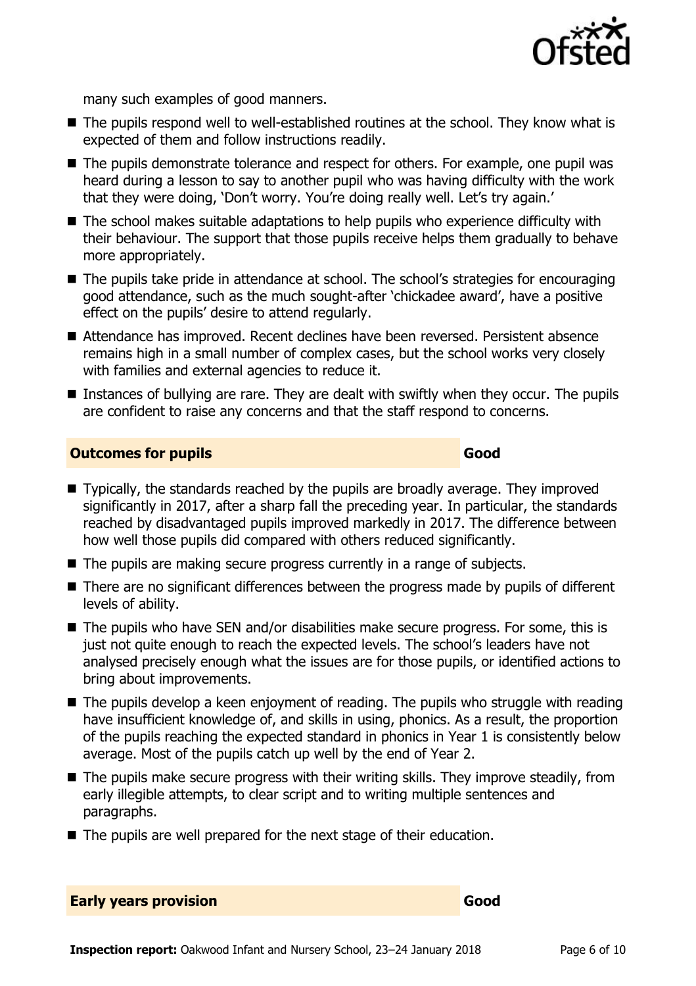

many such examples of good manners.

- The pupils respond well to well-established routines at the school. They know what is expected of them and follow instructions readily.
- The pupils demonstrate tolerance and respect for others. For example, one pupil was heard during a lesson to say to another pupil who was having difficulty with the work that they were doing, 'Don't worry. You're doing really well. Let's try again.'
- The school makes suitable adaptations to help pupils who experience difficulty with their behaviour. The support that those pupils receive helps them gradually to behave more appropriately.
- The pupils take pride in attendance at school. The school's strategies for encouraging good attendance, such as the much sought-after 'chickadee award', have a positive effect on the pupils' desire to attend regularly.
- Attendance has improved. Recent declines have been reversed. Persistent absence remains high in a small number of complex cases, but the school works very closely with families and external agencies to reduce it.
- Instances of bullying are rare. They are dealt with swiftly when they occur. The pupils are confident to raise any concerns and that the staff respond to concerns.

#### **Outcomes for pupils Good Good**

- Typically, the standards reached by the pupils are broadly average. They improved significantly in 2017, after a sharp fall the preceding year. In particular, the standards reached by disadvantaged pupils improved markedly in 2017. The difference between how well those pupils did compared with others reduced significantly.
- The pupils are making secure progress currently in a range of subjects.
- There are no significant differences between the progress made by pupils of different levels of ability.
- The pupils who have SEN and/or disabilities make secure progress. For some, this is just not quite enough to reach the expected levels. The school's leaders have not analysed precisely enough what the issues are for those pupils, or identified actions to bring about improvements.
- The pupils develop a keen enjoyment of reading. The pupils who struggle with reading have insufficient knowledge of, and skills in using, phonics. As a result, the proportion of the pupils reaching the expected standard in phonics in Year 1 is consistently below average. Most of the pupils catch up well by the end of Year 2.
- The pupils make secure progress with their writing skills. They improve steadily, from early illegible attempts, to clear script and to writing multiple sentences and paragraphs.
- The pupils are well prepared for the next stage of their education.

|  |  | <b>Early years provision</b> |  | Good |
|--|--|------------------------------|--|------|
|--|--|------------------------------|--|------|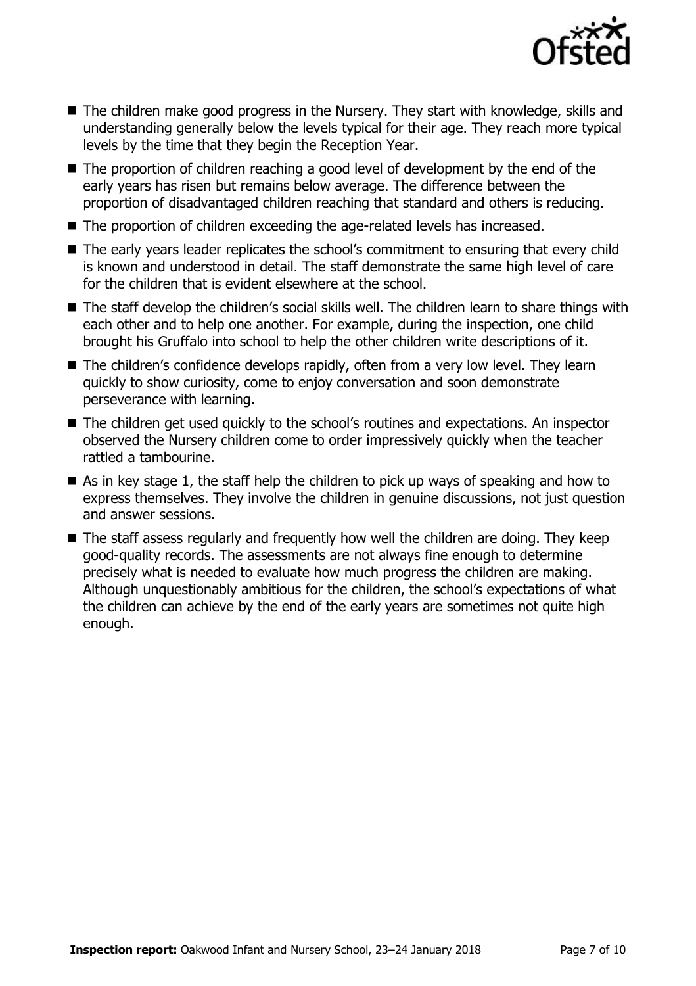

- The children make good progress in the Nursery. They start with knowledge, skills and understanding generally below the levels typical for their age. They reach more typical levels by the time that they begin the Reception Year.
- The proportion of children reaching a good level of development by the end of the early years has risen but remains below average. The difference between the proportion of disadvantaged children reaching that standard and others is reducing.
- The proportion of children exceeding the age-related levels has increased.
- The early years leader replicates the school's commitment to ensuring that every child is known and understood in detail. The staff demonstrate the same high level of care for the children that is evident elsewhere at the school.
- The staff develop the children's social skills well. The children learn to share things with each other and to help one another. For example, during the inspection, one child brought his Gruffalo into school to help the other children write descriptions of it.
- The children's confidence develops rapidly, often from a very low level. They learn quickly to show curiosity, come to enjoy conversation and soon demonstrate perseverance with learning.
- The children get used quickly to the school's routines and expectations. An inspector observed the Nursery children come to order impressively quickly when the teacher rattled a tambourine.
- $\blacksquare$  As in key stage 1, the staff help the children to pick up ways of speaking and how to express themselves. They involve the children in genuine discussions, not just question and answer sessions.
- The staff assess regularly and frequently how well the children are doing. They keep good-quality records. The assessments are not always fine enough to determine precisely what is needed to evaluate how much progress the children are making. Although unquestionably ambitious for the children, the school's expectations of what the children can achieve by the end of the early years are sometimes not quite high enough.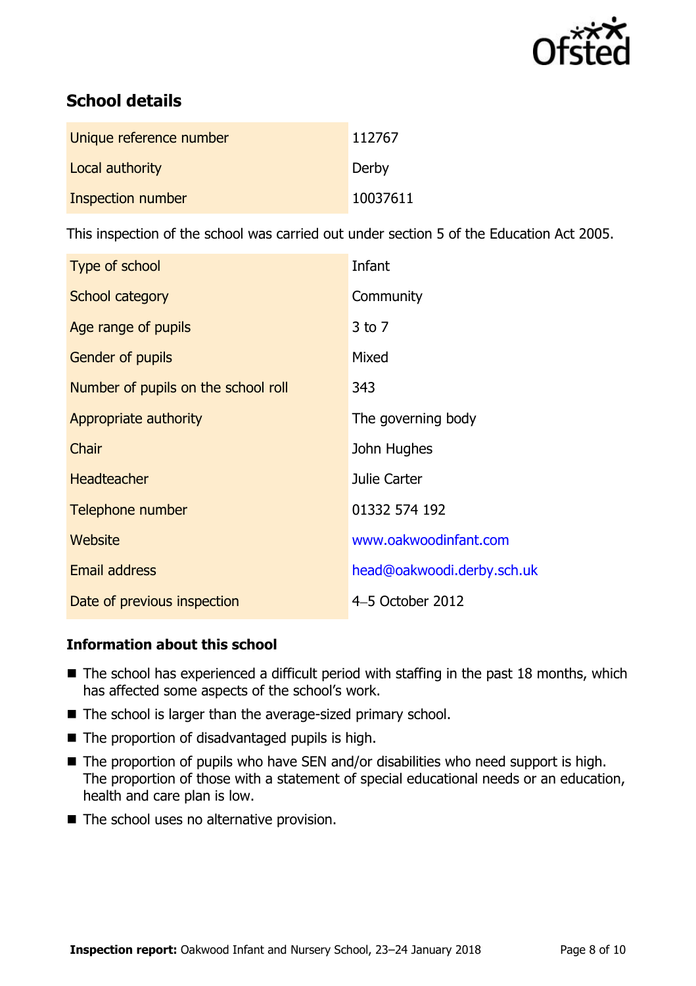

# **School details**

| Unique reference number | 112767   |
|-------------------------|----------|
| Local authority         | Derby    |
| Inspection number       | 10037611 |

This inspection of the school was carried out under section 5 of the Education Act 2005.

| Type of school                      | Infant                     |
|-------------------------------------|----------------------------|
| School category                     | Community                  |
| Age range of pupils                 | $3$ to $7$                 |
| Gender of pupils                    | Mixed                      |
| Number of pupils on the school roll | 343                        |
| Appropriate authority               | The governing body         |
| Chair                               | John Hughes                |
| <b>Headteacher</b>                  | Julie Carter               |
| Telephone number                    | 01332 574 192              |
| Website                             | www.oakwoodinfant.com      |
| <b>Email address</b>                | head@oakwoodi.derby.sch.uk |
| Date of previous inspection         | 4-5 October 2012           |

# **Information about this school**

- The school has experienced a difficult period with staffing in the past 18 months, which has affected some aspects of the school's work.
- The school is larger than the average-sized primary school.
- $\blacksquare$  The proportion of disadvantaged pupils is high.
- The proportion of pupils who have SEN and/or disabilities who need support is high. The proportion of those with a statement of special educational needs or an education, health and care plan is low.
- The school uses no alternative provision.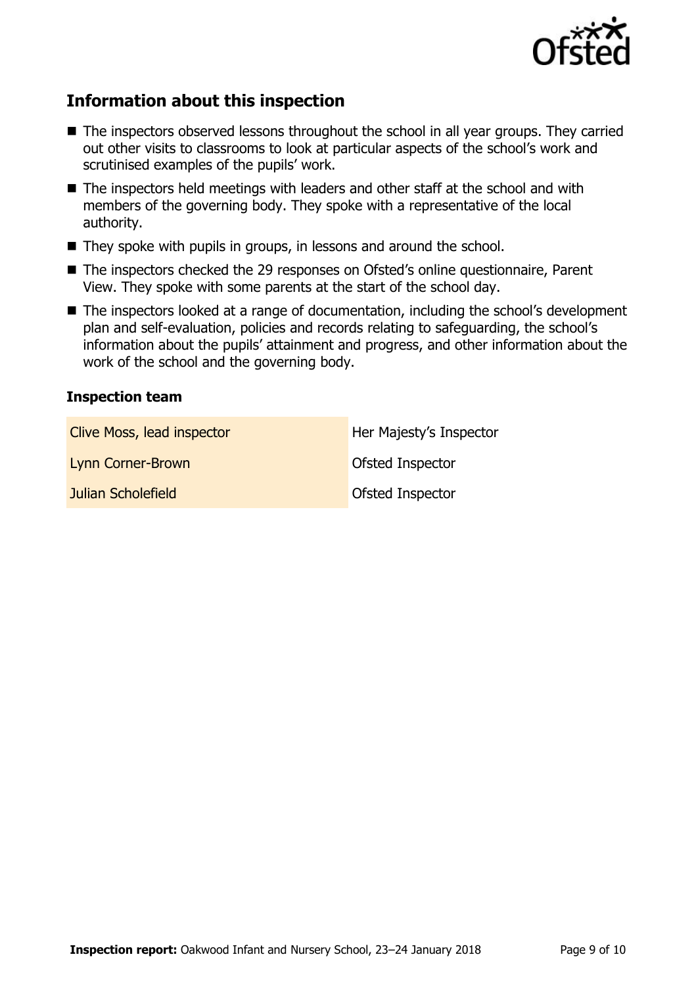

# **Information about this inspection**

- The inspectors observed lessons throughout the school in all year groups. They carried out other visits to classrooms to look at particular aspects of the school's work and scrutinised examples of the pupils' work.
- The inspectors held meetings with leaders and other staff at the school and with members of the governing body. They spoke with a representative of the local authority.
- They spoke with pupils in groups, in lessons and around the school.
- The inspectors checked the 29 responses on Ofsted's online questionnaire, Parent View. They spoke with some parents at the start of the school day.
- The inspectors looked at a range of documentation, including the school's development plan and self-evaluation, policies and records relating to safeguarding, the school's information about the pupils' attainment and progress, and other information about the work of the school and the governing body.

### **Inspection team**

| <b>Clive Moss, lead inspector</b> | Her Majesty's Inspector |
|-----------------------------------|-------------------------|
| Lynn Corner-Brown                 | <b>Ofsted Inspector</b> |
| Julian Scholefield                | <b>Ofsted Inspector</b> |